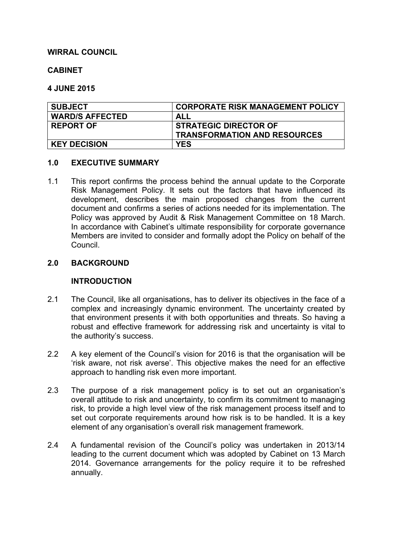### **WIRRAL COUNCIL**

#### **CABINET**

#### **4 JUNE 2015**

| <b>SUBJECT</b>         | <b>CORPORATE RISK MANAGEMENT POLICY</b> |
|------------------------|-----------------------------------------|
| <b>WARD/S AFFECTED</b> | ALL                                     |
| <b>REPORT OF</b>       | <b>STRATEGIC DIRECTOR OF</b>            |
|                        | <b>TRANSFORMATION AND RESOURCES</b>     |
| <b>KEY DECISION</b>    | <b>YES</b>                              |

#### **1.0 EXECUTIVE SUMMARY**

1.1 This report confirms the process behind the annual update to the Corporate Risk Management Policy. It sets out the factors that have influenced its development, describes the main proposed changes from the current document and confirms a series of actions needed for its implementation. The Policy was approved by Audit & Risk Management Committee on 18 March. In accordance with Cabinet's ultimate responsibility for corporate governance Members are invited to consider and formally adopt the Policy on behalf of the Council.

### **2.0 BACKGROUND**

### **INTRODUCTION**

- 2.1 The Council, like all organisations, has to deliver its objectives in the face of a complex and increasingly dynamic environment. The uncertainty created by that environment presents it with both opportunities and threats. So having a robust and effective framework for addressing risk and uncertainty is vital to the authority's success.
- 2.2 A key element of the Council's vision for 2016 is that the organisation will be 'risk aware, not risk averse'. This objective makes the need for an effective approach to handling risk even more important.
- 2.3 The purpose of a risk management policy is to set out an organisation's overall attitude to risk and uncertainty, to confirm its commitment to managing risk, to provide a high level view of the risk management process itself and to set out corporate requirements around how risk is to be handled. It is a key element of any organisation's overall risk management framework.
- 2.4 A fundamental revision of the Council's policy was undertaken in 2013/14 leading to the current document which was adopted by Cabinet on 13 March 2014. Governance arrangements for the policy require it to be refreshed annually.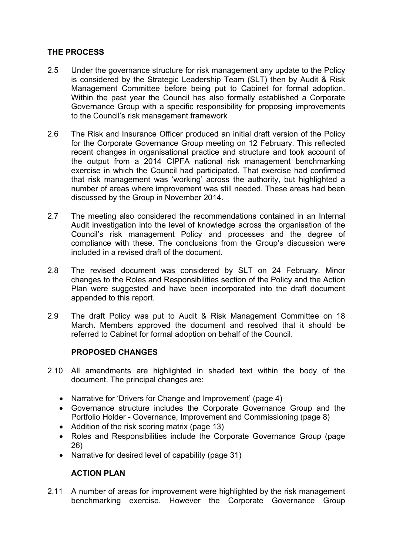# **THE PROCESS**

- 2.5 Under the governance structure for risk management any update to the Policy is considered by the Strategic Leadership Team (SLT) then by Audit & Risk Management Committee before being put to Cabinet for formal adoption. Within the past year the Council has also formally established a Corporate Governance Group with a specific responsibility for proposing improvements to the Council's risk management framework
- 2.6 The Risk and Insurance Officer produced an initial draft version of the Policy for the Corporate Governance Group meeting on 12 February. This reflected recent changes in organisational practice and structure and took account of the output from a 2014 CIPFA national risk management benchmarking exercise in which the Council had participated. That exercise had confirmed that risk management was 'working' across the authority, but highlighted a number of areas where improvement was still needed. These areas had been discussed by the Group in November 2014.
- 2.7 The meeting also considered the recommendations contained in an Internal Audit investigation into the level of knowledge across the organisation of the Council's risk management Policy and processes and the degree of compliance with these. The conclusions from the Group's discussion were included in a revised draft of the document.
- 2.8 The revised document was considered by SLT on 24 February. Minor changes to the Roles and Responsibilities section of the Policy and the Action Plan were suggested and have been incorporated into the draft document appended to this report.
- 2.9 The draft Policy was put to Audit & Risk Management Committee on 18 March. Members approved the document and resolved that it should be referred to Cabinet for formal adoption on behalf of the Council.

### **PROPOSED CHANGES**

- 2.10 All amendments are highlighted in shaded text within the body of the document. The principal changes are:
	- Narrative for 'Drivers for Change and Improvement' (page 4)
	- Governance structure includes the Corporate Governance Group and the Portfolio Holder - Governance, Improvement and Commissioning (page 8)
	- Addition of the risk scoring matrix (page 13)
	- Roles and Responsibilities include the Corporate Governance Group (page 26)
	- Narrative for desired level of capability (page 31)

# **ACTION PLAN**

2.11 A number of areas for improvement were highlighted by the risk management benchmarking exercise. However the Corporate Governance Group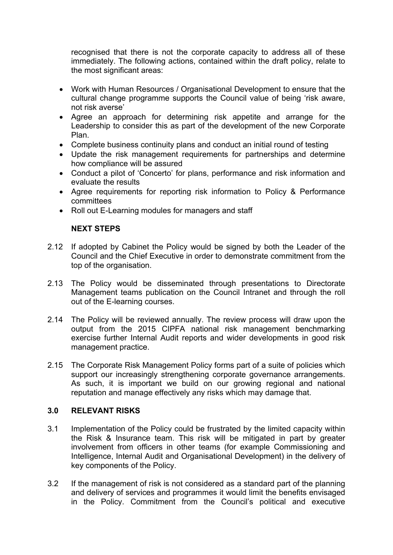recognised that there is not the corporate capacity to address all of these immediately. The following actions, contained within the draft policy, relate to the most significant areas:

- Work with Human Resources / Organisational Development to ensure that the cultural change programme supports the Council value of being 'risk aware, not risk averse'
- Agree an approach for determining risk appetite and arrange for the Leadership to consider this as part of the development of the new Corporate Plan.
- Complete business continuity plans and conduct an initial round of testing
- Update the risk management requirements for partnerships and determine how compliance will be assured
- Conduct a pilot of 'Concerto' for plans, performance and risk information and evaluate the results
- Agree requirements for reporting risk information to Policy & Performance committees
- Roll out E-Learning modules for managers and staff

# **NEXT STEPS**

- 2.12 If adopted by Cabinet the Policy would be signed by both the Leader of the Council and the Chief Executive in order to demonstrate commitment from the top of the organisation.
- 2.13 The Policy would be disseminated through presentations to Directorate Management teams publication on the Council Intranet and through the roll out of the E-learning courses.
- 2.14 The Policy will be reviewed annually. The review process will draw upon the output from the 2015 CIPFA national risk management benchmarking exercise further Internal Audit reports and wider developments in good risk management practice.
- 2.15 The Corporate Risk Management Policy forms part of a suite of policies which support our increasingly strengthening corporate governance arrangements. As such, it is important we build on our growing regional and national reputation and manage effectively any risks which may damage that.

# **3.0 RELEVANT RISKS**

- 3.1 Implementation of the Policy could be frustrated by the limited capacity within the Risk & Insurance team. This risk will be mitigated in part by greater involvement from officers in other teams (for example Commissioning and Intelligence, Internal Audit and Organisational Development) in the delivery of key components of the Policy.
- 3.2 If the management of risk is not considered as a standard part of the planning and delivery of services and programmes it would limit the benefits envisaged in the Policy. Commitment from the Council's political and executive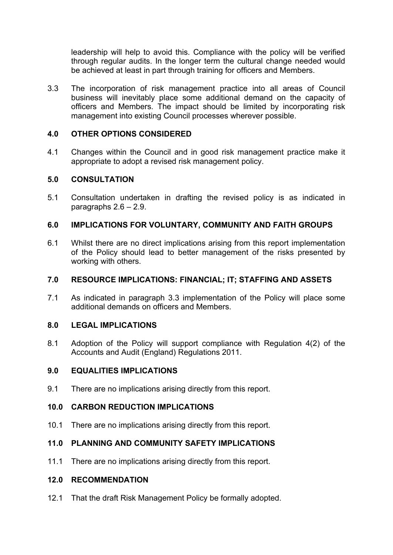leadership will help to avoid this. Compliance with the policy will be verified through regular audits. In the longer term the cultural change needed would be achieved at least in part through training for officers and Members.

3.3 The incorporation of risk management practice into all areas of Council business will inevitably place some additional demand on the capacity of officers and Members. The impact should be limited by incorporating risk management into existing Council processes wherever possible.

### **4.0 OTHER OPTIONS CONSIDERED**

4.1 Changes within the Council and in good risk management practice make it appropriate to adopt a revised risk management policy.

### **5.0 CONSULTATION**

5.1 Consultation undertaken in drafting the revised policy is as indicated in paragraphs 2.6 – 2.9.

# **6.0 IMPLICATIONS FOR VOLUNTARY, COMMUNITY AND FAITH GROUPS**

6.1 Whilst there are no direct implications arising from this report implementation of the Policy should lead to better management of the risks presented by working with others.

### **7.0 RESOURCE IMPLICATIONS: FINANCIAL; IT; STAFFING AND ASSETS**

7.1 As indicated in paragraph 3.3 implementation of the Policy will place some additional demands on officers and Members.

### **8.0 LEGAL IMPLICATIONS**

8.1 Adoption of the Policy will support compliance with Regulation 4(2) of the Accounts and Audit (England) Regulations 2011.

#### **9.0 EQUALITIES IMPLICATIONS**

9.1 There are no implications arising directly from this report.

### **10.0 CARBON REDUCTION IMPLICATIONS**

10.1 There are no implications arising directly from this report.

### **11.0 PLANNING AND COMMUNITY SAFETY IMPLICATIONS**

11.1 There are no implications arising directly from this report.

## **12.0 RECOMMENDATION**

12.1 That the draft Risk Management Policy be formally adopted.